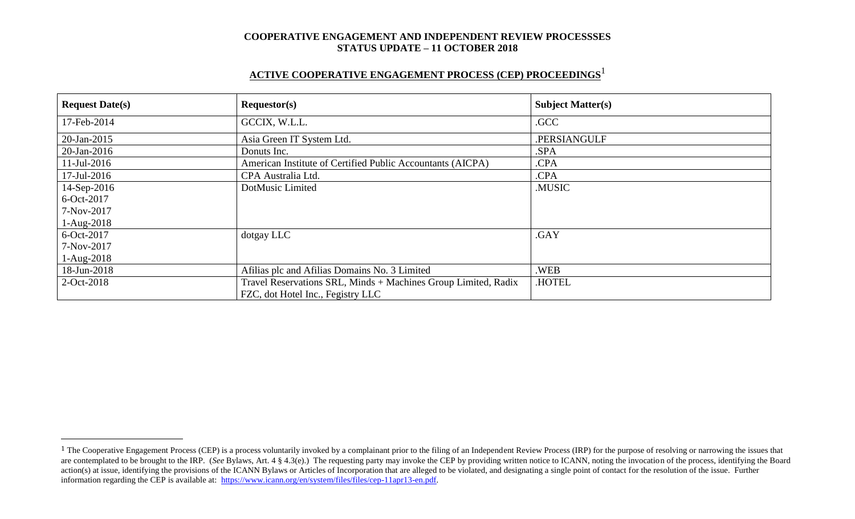# **ACTIVE COOPERATIVE ENGAGEMENT PROCESS (CEP) PROCEEDINGS** 1

| <b>Request Date(s)</b> | Requestor(s)                                                   | <b>Subject Matter(s)</b> |
|------------------------|----------------------------------------------------------------|--------------------------|
| 17-Feb-2014            | GCCIX, W.L.L.                                                  | .GCC                     |
| 20-Jan-2015            | Asia Green IT System Ltd.                                      | .PERSIANGULF             |
| 20-Jan-2016            | Donuts Inc.                                                    | .SPA                     |
| $11$ -Jul-2016         | American Institute of Certified Public Accountants (AICPA)     | .CPA                     |
| 17-Jul-2016            | CPA Australia Ltd.                                             | .CPA                     |
| 14-Sep-2016            | DotMusic Limited                                               | .MUSIC                   |
| 6-Oct-2017             |                                                                |                          |
| 7-Nov-2017             |                                                                |                          |
| $1-Aug-2018$           |                                                                |                          |
| 6-Oct-2017             | dotgay LLC                                                     | .GAY                     |
| 7-Nov-2017             |                                                                |                          |
| $1-Aug-2018$           |                                                                |                          |
| 18-Jun-2018            | Afilias plc and Afilias Domains No. 3 Limited                  | .WEB                     |
| 2-Oct-2018             | Travel Reservations SRL, Minds + Machines Group Limited, Radix | .HOTEL                   |
|                        | FZC, dot Hotel Inc., Fegistry LLC                              |                          |

 $\overline{a}$ 

<sup>&</sup>lt;sup>1</sup> The Cooperative Engagement Process (CEP) is a process voluntarily invoked by a complainant prior to the filing of an Independent Review Process (IRP) for the purpose of resolving or narrowing the issues that are contemplated to be brought to the IRP. (*See* Bylaws, Art. 4 § 4.3(e).) The requesting party may invoke the CEP by providing written notice to ICANN, noting the invocation of the process, identifying the Board action(s) at issue, identifying the provisions of the ICANN Bylaws or Articles of Incorporation that are alleged to be violated, and designating a single point of contact for the resolution of the issue. Further information regarding the CEP is available at: [https://www.icann.org/en/system/files/files/cep-11apr13-en.pdf.](https://www.icann.org/en/system/files/files/cep-11apr13-en.pdf)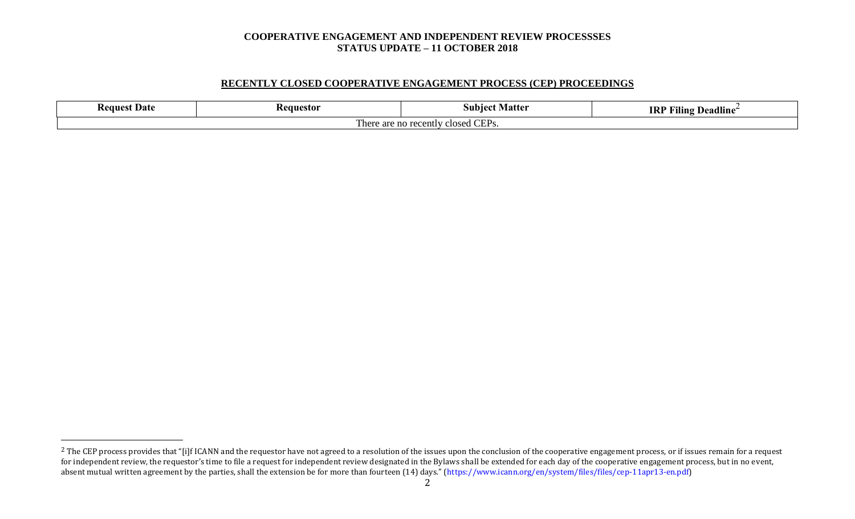# **RECENTLY CLOSED COOPERATIVE ENGAGEMENT PROCESS (CEP) PROCEEDINGS**

| - Keanest<br>. Date                                             | Requestor | Matte<br>subiect | 11.7<br><b>IRP</b><br>$\mathbf{r}$<br>Deadline<br>Filing |  |
|-----------------------------------------------------------------|-----------|------------------|----------------------------------------------------------|--|
| CFD<br>closed CEPs.<br>, recently<br>$n \cap$<br>аге<br>- 11 17 |           |                  |                                                          |  |

 $\overline{a}$ 

<sup>&</sup>lt;sup>2</sup> The CEP process provides that "[i]f ICANN and the requestor have not agreed to a resolution of the issues upon the conclusion of the cooperative engagement process, or if issues remain for a request for independent review, the requestor's time to file a request for independent review designated in the Bylaws shall be extended for each day of the cooperative engagement process, but in no event, absent mutual written agreement by the parties, shall the extension be for more than fourteen (14) days." (https://www.icann.org/en/system/files/files/cep-11apr13-en.pdf)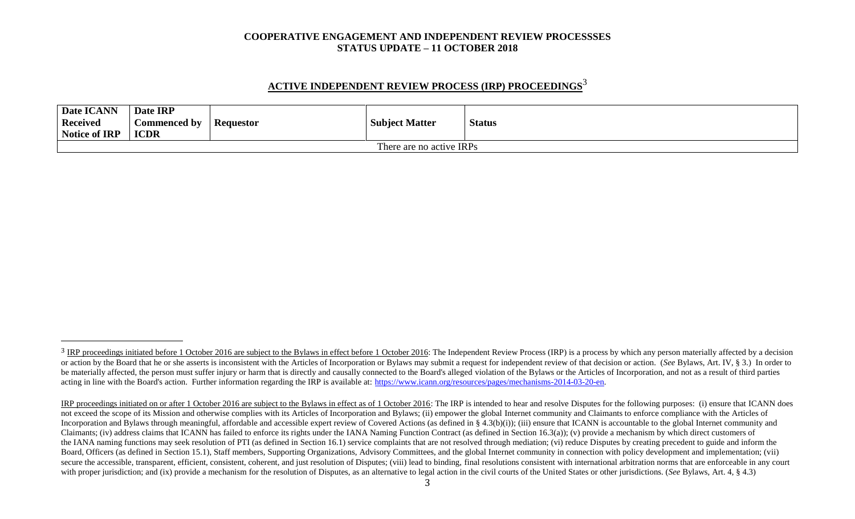# **ACTIVE INDEPENDENT REVIEW PROCESS (IRP) PROCEEDINGS** 3

| <b>Date ICANN</b><br><b>Received</b><br>Notice of IRP | Date IRP<br>Commenced by<br><b>ICDR</b> | <b>Requestor</b> | <b>Subject Matter</b> | <b>Status</b> |  |
|-------------------------------------------------------|-----------------------------------------|------------------|-----------------------|---------------|--|
| There are no active IRPs                              |                                         |                  |                       |               |  |

l

<sup>&</sup>lt;sup>3</sup> IRP proceedings initiated before 1 October 2016 are subject to the Bylaws in effect before 1 October 2016: The Independent Review Process (IRP) is a process by which any person materially affected by a decision or action by the Board that he or she asserts is inconsistent with the Articles of Incorporation or Bylaws may submit a request for independent review of that decision or action. (See Bylaws, Art. IV, § 3.) In order to be materially affected, the person must suffer injury or harm that is directly and causally connected to the Board's alleged violation of the Bylaws or the Articles of Incorporation, and not as a result of third parties acting in line with the Board's action. Further information regarding the IRP is available at: [https://www.icann.org/resources/pages/mechanisms-2014-03-20-en.](https://www.icann.org/resources/pages/mechanisms-2014-03-20-en)

IRP proceedings initiated on or after 1 October 2016 are subject to the Bylaws in effect as of 1 October 2016: The IRP is intended to hear and resolve Disputes for the following purposes: (i) ensure that ICANN does not exceed the scope of its Mission and otherwise complies with its Articles of Incorporation and Bylaws; (ii) empower the global Internet community and Claimants to enforce compliance with the Articles of Incorporation and Bylaws through meaningful, affordable and accessible expert review of Covered Actions (as defined in § 4.3(b)(i)); (iii) ensure that ICANN is accountable to the global Internet community and Claimants; (iv) address claims that ICANN has failed to enforce its rights under the IANA Naming Function Contract (as defined in Section 16.3(a)); (v) provide a mechanism by which direct customers of the IANA naming functions may seek resolution of PTI (as defined in Section 16.1) service complaints that are not resolved through mediation; (vi) reduce Disputes by creating precedent to guide and inform the Board, Officers (as defined in Section 15.1), Staff members, Supporting Organizations, Advisory Committees, and the global Internet community in connection with policy development and implementation; (vii) secure the accessible, transparent, efficient, consistent, coherent, and just resolution of Disputes; (viii) lead to binding, final resolutions consistent with international arbitration norms that are enforceable in any co with proper jurisdiction; and (ix) provide a mechanism for the resolution of Disputes, as an alternative to legal action in the civil courts of the United States or other jurisdictions. (*See* Bylaws, Art. 4, § 4.3)